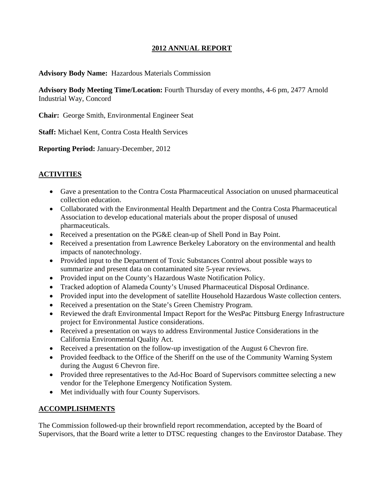#### **2012 ANNUAL REPORT**

#### **Advisory Body Name:** Hazardous Materials Commission

**Advisory Body Meeting Time/Location:** Fourth Thursday of every months, 4-6 pm, 2477 Arnold Industrial Way, Concord

**Chair:** George Smith, Environmental Engineer Seat

**Staff:** Michael Kent, Contra Costa Health Services

**Reporting Period:** January-December, 2012

# **ACTIVITIES**

- Gave a presentation to the Contra Costa Pharmaceutical Association on unused pharmaceutical collection education.
- Collaborated with the Environmental Health Department and the Contra Costa Pharmaceutical Association to develop educational materials about the proper disposal of unused pharmaceuticals.
- Received a presentation on the PG&E clean-up of Shell Pond in Bay Point.
- Received a presentation from Lawrence Berkeley Laboratory on the environmental and health impacts of nanotechnology.
- Provided input to the Department of Toxic Substances Control about possible ways to summarize and present data on contaminated site 5-year reviews.
- Provided input on the County's Hazardous Waste Notification Policy.
- Tracked adoption of Alameda County's Unused Pharmaceutical Disposal Ordinance.
- Provided input into the development of satellite Household Hazardous Waste collection centers.
- Received a presentation on the State's Green Chemistry Program.
- Reviewed the draft Environmental Impact Report for the WesPac Pittsburg Energy Infrastructure project for Environmental Justice considerations.
- Received a presentation on ways to address Environmental Justice Considerations in the California Environmental Quality Act.
- Received a presentation on the follow-up investigation of the August 6 Chevron fire.
- Provided feedback to the Office of the Sheriff on the use of the Community Warning System during the August 6 Chevron fire.
- Provided three representatives to the Ad-Hoc Board of Supervisors committee selecting a new vendor for the Telephone Emergency Notification System.
- Met individually with four County Supervisors.

## **ACCOMPLISHMENTS**

The Commission followed-up their brownfield report recommendation, accepted by the Board of Supervisors, that the Board write a letter to DTSC requesting changes to the Envirostor Database. They